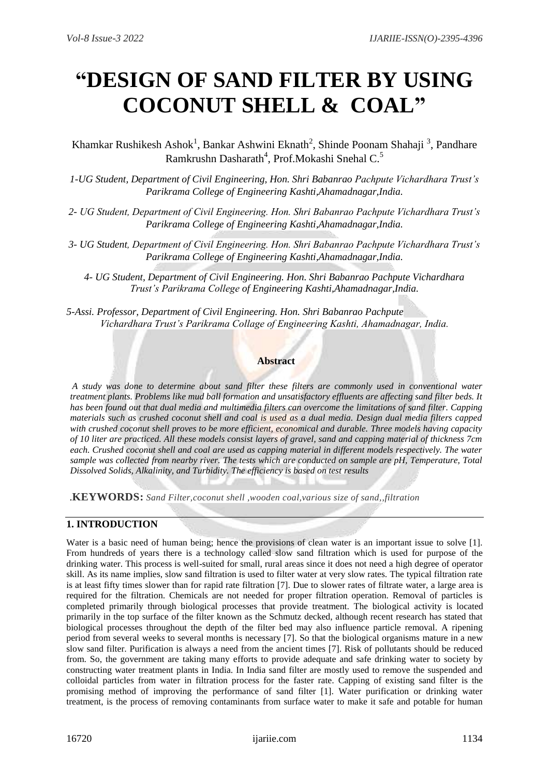# **"DESIGN OF SAND FILTER BY USING COCONUT SHELL & COAL"**

Khamkar Rushikesh Ashok<sup>1</sup>, Bankar Ashwini Eknath<sup>2</sup>, Shinde Poonam Shahaji<sup>3</sup>, Pandhare Ramkrushn Dasharath<sup>4</sup>, Prof.Mokashi Snehal C.<sup>5</sup>

*1-UG Student, Department of Civil Engineering, Hon. Shri Babanrao Pachpute Vichardhara Trust's Parikrama College of Engineering Kashti,Ahamadnagar,India.*

- *2- UG Student, Department of Civil Engineering. Hon. Shri Babanrao Pachpute Vichardhara Trust's Parikrama College of Engineering Kashti,Ahamadnagar,India.*
- *3- UG Student, Department of Civil Engineering. Hon. Shri Babanrao Pachpute Vichardhara Trust's Parikrama College of Engineering Kashti,Ahamadnagar,India.*

*4- UG Student, Department of Civil Engineering. Hon. Shri Babanrao Pachpute Vichardhara Trust's Parikrama College of Engineering Kashti,Ahamadnagar,India.*

*5-Assi. Professor, Department of Civil Engineering. Hon. Shri Babanrao Pachpute Vichardhara Trust's Parikrama Collage of Engineering Kashti, Ahamadnagar, India.*

#### **Abstract**

*A study was done to determine about sand filter these filters are commonly used in conventional water treatment plants. Problems like mud ball formation and unsatisfactory effluents are affecting sand filter beds. It has been found out that dual media and multimedia filters can overcome the limitations of sand filter. Capping materials such as crushed coconut shell and coal is used as a dual media. Design dual media filters capped with crushed coconut shell proves to be more efficient, economical and durable. Three models having capacity of 10 liter are practiced. All these models consist layers of gravel, sand and capping material of thickness 7cm each. Crushed coconut shell and coal are used as capping material in different models respectively. The water sample was collected from nearby river. The tests which are conducted on sample are pH, Temperature, Total Dissolved Solids, Alkalinity, and Turbidity. The efficiency is based on test results*

.**KEYWORDS:** *Sand Filter,coconut shell ,wooden coal,various size of sand,,filtration* 

# **1. INTRODUCTION**

Water is a basic need of human being; hence the provisions of clean water is an important issue to solve [1]. From hundreds of years there is a technology called slow sand filtration which is used for purpose of the drinking water. This process is well-suited for small, rural areas since it does not need a high degree of operator skill. As its name implies, slow sand filtration is used to filter water at very slow rates. The typical filtration rate is at least fifty times slower than for rapid rate filtration [7]. Due to slower rates of filtrate water, a large area is required for the filtration. Chemicals are not needed for proper filtration operation. Removal of particles is completed primarily through biological processes that provide treatment. The biological activity is located primarily in the top surface of the filter known as the Schmutz decked, although recent research has stated that biological processes throughout the depth of the filter bed may also influence particle removal. A ripening period from several weeks to several months is necessary [7]. So that the biological organisms mature in a new slow sand filter. Purification is always a need from the ancient times [7]. Risk of pollutants should be reduced from. So, the government are taking many efforts to provide adequate and safe drinking water to society by constructing water treatment plants in India. In India sand filter are mostly used to remove the suspended and colloidal particles from water in filtration process for the faster rate. Capping of existing sand filter is the promising method of improving the performance of sand filter [1]. Water purification or drinking water treatment, is the process of removing contaminants from surface water to make it safe and potable for human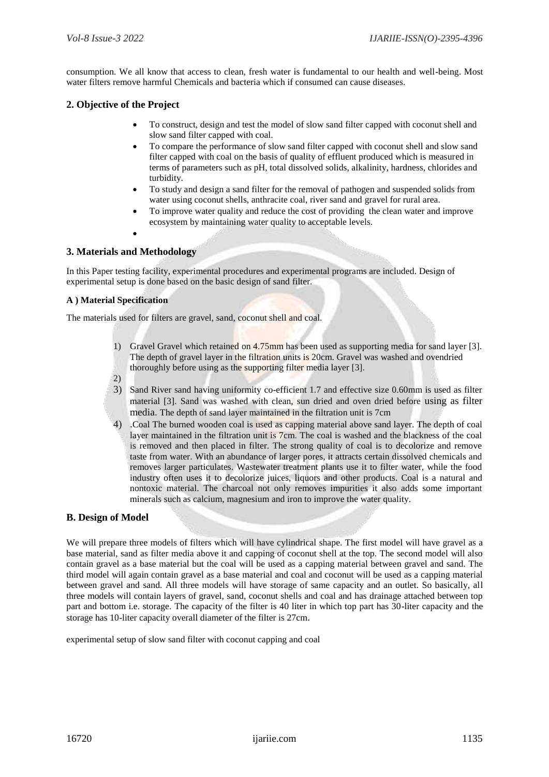consumption. We all know that access to clean, fresh water is fundamental to our health and well-being. Most water filters remove harmful Chemicals and bacteria which if consumed can cause diseases.

#### **2. Objective of the Project**

- To construct, design and test the model of slow sand filter capped with coconut shell and slow sand filter capped with coal.
- To compare the performance of slow sand filter capped with coconut shell and slow sand filter capped with coal on the basis of quality of effluent produced which is measured in terms of parameters such as pH, total dissolved solids, alkalinity, hardness, chlorides and turbidity.
- To study and design a sand filter for the removal of pathogen and suspended solids from water using coconut shells, anthracite coal, river sand and gravel for rural area.
- To improve water quality and reduce the cost of providing the clean water and improve ecosystem by maintaining water quality to acceptable levels.
- $\bullet$

#### **3. Materials and Methodology**

In this Paper testing facility, experimental procedures and experimental programs are included. Design of experimental setup is done based on the basic design of sand filter.

#### **A ) Material Specification**

The materials used for filters are gravel, sand, coconut shell and coal.

- 1) Gravel Gravel which retained on 4.75mm has been used as supporting media for sand layer [3]. The depth of gravel layer in the filtration units is 20cm. Gravel was washed and ovendried thoroughly before using as the supporting filter media layer [3]. 2)
- 3) Sand River sand having uniformity co-efficient 1.7 and effective size 0.60mm is used as filter material [3]. Sand was washed with clean, sun dried and oven dried before using as filter media. The depth of sand layer maintained in the filtration unit is 7cm
- 4) .Coal The burned wooden coal is used as capping material above sand layer. The depth of coal layer maintained in the filtration unit is 7cm. The coal is washed and the blackness of the coal is removed and then placed in filter. The strong quality of coal is to decolorize and remove taste from water. With an abundance of larger pores, it attracts certain dissolved chemicals and removes larger particulates. Wastewater treatment plants use it to filter water, while the food industry often uses it to decolorize juices, liquors and other products. Coal is a natural and nontoxic material. The charcoal not only removes impurities it also adds some important minerals such as calcium, magnesium and iron to improve the water quality.

#### **B. Design of Model**

We will prepare three models of filters which will have cylindrical shape. The first model will have gravel as a base material, sand as filter media above it and capping of coconut shell at the top. The second model will also contain gravel as a base material but the coal will be used as a capping material between gravel and sand. The third model will again contain gravel as a base material and coal and coconut will be used as a capping material between gravel and sand. All three models will have storage of same capacity and an outlet. So basically, all three models will contain layers of gravel, sand, coconut shells and coal and has drainage attached between top part and bottom i.e. storage. The capacity of the filter is 40 liter in which top part has 30-liter capacity and the storage has 10-liter capacity overall diameter of the filter is 27cm.

experimental setup of slow sand filter with coconut capping and coal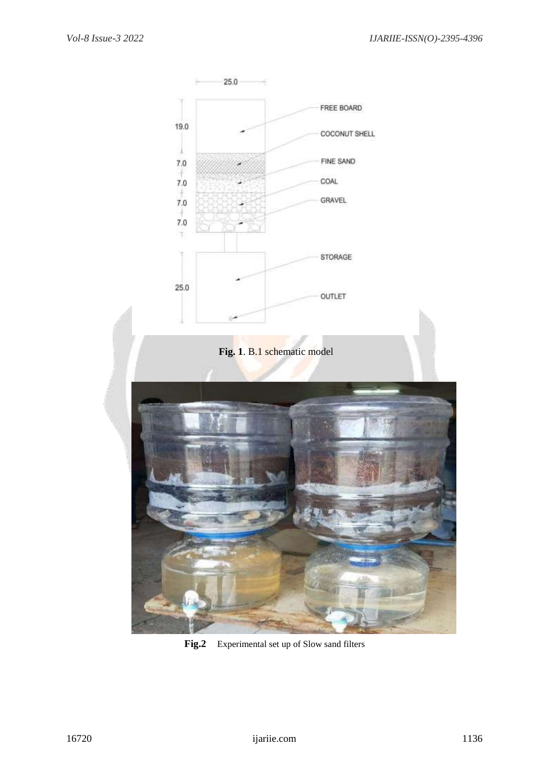

**Fig.2** Experimental set up of Slow sand filters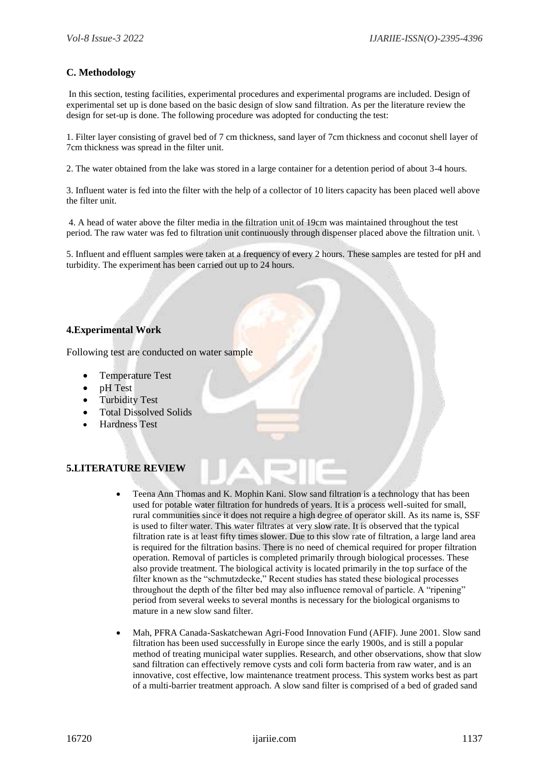## **C. Methodology**

In this section, testing facilities, experimental procedures and experimental programs are included. Design of experimental set up is done based on the basic design of slow sand filtration. As per the literature review the design for set-up is done. The following procedure was adopted for conducting the test:

1. Filter layer consisting of gravel bed of 7 cm thickness, sand layer of 7cm thickness and coconut shell layer of 7cm thickness was spread in the filter unit.

2. The water obtained from the lake was stored in a large container for a detention period of about 3-4 hours.

3. Influent water is fed into the filter with the help of a collector of 10 liters capacity has been placed well above the filter unit.

4. A head of water above the filter media in the filtration unit of 19cm was maintained throughout the test period. The raw water was fed to filtration unit continuously through dispenser placed above the filtration unit. \

5. Influent and effluent samples were taken at a frequency of every 2 hours. These samples are tested for pH and turbidity. The experiment has been carried out up to 24 hours.

## **4.Experimental Work**

Following test are conducted on water sample

- Temperature Test
- pH Test
- Turbidity Test
- Total Dissolved Solids
- Hardness Test

#### **5.LITERATURE REVIEW**

- Teena Ann Thomas and K. Mophin Kani. Slow sand filtration is a technology that has been used for potable water filtration for hundreds of years. It is a process well-suited for small, rural communities since it does not require a high degree of operator skill. As its name is, SSF is used to filter water. This water filtrates at very slow rate. It is observed that the typical filtration rate is at least fifty times slower. Due to this slow rate of filtration, a large land area is required for the filtration basins. There is no need of chemical required for proper filtration operation. Removal of particles is completed primarily through biological processes. These also provide treatment. The biological activity is located primarily in the top surface of the filter known as the "schmutzdecke," Recent studies has stated these biological processes throughout the depth of the filter bed may also influence removal of particle. A "ripening" period from several weeks to several months is necessary for the biological organisms to mature in a new slow sand filter.
- Mah, PFRA Canada-Saskatchewan Agri-Food Innovation Fund (AFIF). June 2001. Slow sand filtration has been used successfully in Europe since the early 1900s, and is still a popular method of treating municipal water supplies. Research, and other observations, show that slow sand filtration can effectively remove cysts and coli form bacteria from raw water, and is an innovative, cost effective, low maintenance treatment process. This system works best as part of a multi-barrier treatment approach. A slow sand filter is comprised of a bed of graded sand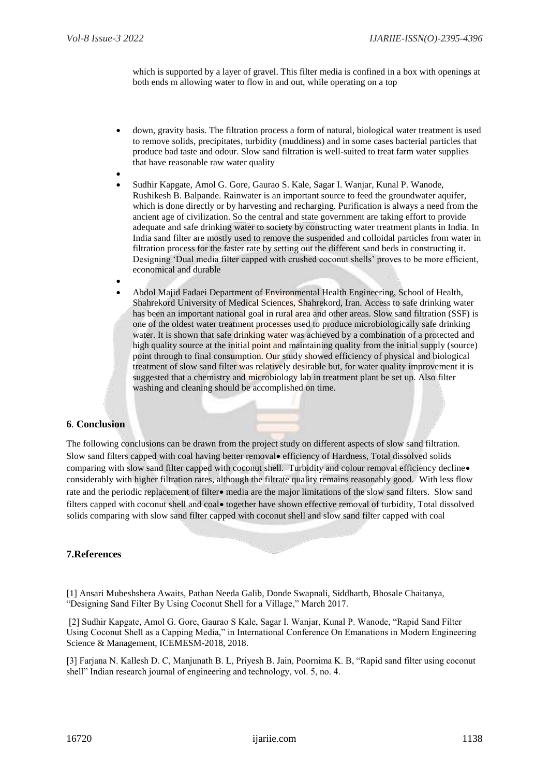which is supported by a layer of gravel. This filter media is confined in a box with openings at both ends m allowing water to flow in and out, while operating on a top

- down, gravity basis. The filtration process a form of natural, biological water treatment is used to remove solids, precipitates, turbidity (muddiness) and in some cases bacterial particles that produce bad taste and odour. Slow sand filtration is well-suited to treat farm water supplies that have reasonable raw water quality
- $\bullet$  Sudhir Kapgate, Amol G. Gore, Gaurao S. Kale, Sagar I. Wanjar, Kunal P. Wanode, Rushikesh B. Balpande. Rainwater is an important source to feed the groundwater aquifer, which is done directly or by harvesting and recharging. Purification is always a need from the ancient age of civilization. So the central and state government are taking effort to provide adequate and safe drinking water to society by constructing water treatment plants in India. In India sand filter are mostly used to remove the suspended and colloidal particles from water in filtration process for the faster rate by setting out the different sand beds in constructing it. Designing 'Dual media filter capped with crushed coconut shells' proves to be more efficient, economical and durable
- $\bullet$  Abdol Majid Fadaei Department of Environmental Health Engineering, School of Health, Shahrekord University of Medical Sciences, Shahrekord, Iran. Access to safe drinking water has been an important national goal in rural area and other areas. Slow sand filtration (SSF) is one of the oldest water treatment processes used to produce microbiologically safe drinking water. It is shown that safe drinking water was achieved by a combination of a protected and high quality source at the initial point and maintaining quality from the initial supply (source) point through to final consumption. Our study showed efficiency of physical and biological treatment of slow sand filter was relatively desirable but, for water quality improvement it is suggested that a chemistry and microbiology lab in treatment plant be set up. Also filter washing and cleaning should be accomplished on time.

# **6**. **Conclusion**

The following conclusions can be drawn from the project study on different aspects of slow sand filtration. Slow sand filters capped with coal having better removal efficiency of Hardness, Total dissolved solids comparing with slow sand filter capped with coconut shell. Turbidity and colour removal efficiency decline. considerably with higher filtration rates, although the filtrate quality remains reasonably good. With less flow rate and the periodic replacement of filter media are the major limitations of the slow sand filters. Slow sand filters capped with coconut shell and coal **•** together have shown effective removal of turbidity, Total dissolved solids comparing with slow sand filter capped with coconut shell and slow sand filter capped with coal

#### **7.References**

[1] Ansari Mubeshshera Awaits, Pathan Needa Galib, Donde Swapnali, Siddharth, Bhosale Chaitanya, "Designing Sand Filter By Using Coconut Shell for a Village," March 2017.

[2] Sudhir Kapgate, Amol G. Gore, Gaurao S Kale, Sagar I. Wanjar, Kunal P. Wanode, "Rapid Sand Filter Using Coconut Shell as a Capping Media," in International Conference On Emanations in Modern Engineering Science & Management, ICEMESM-2018, 2018.

[3] Farjana N. Kallesh D. C, Manjunath B. L, Priyesh B. Jain, Poornima K. B, "Rapid sand filter using coconut shell" Indian research journal of engineering and technology, vol. 5, no. 4.